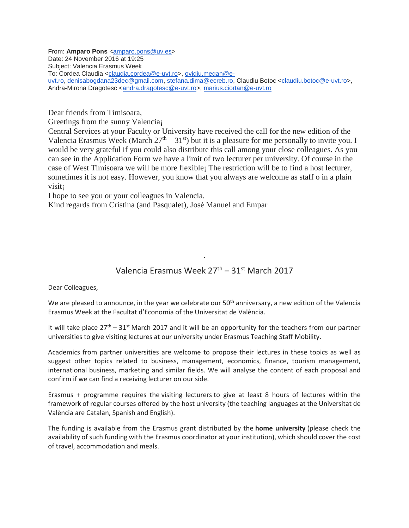From: Amparo Pons [<amparo.pons@uv.es>](mailto:amparo.pons@uv.es) Date: 24 November 2016 at 19:25 Subject: Valencia Erasmus Week To: Cordea Claudia [<claudia.cordea@e-uvt.ro>](mailto:claudia.cordea@e-uvt.ro), [ovidiu.megan@e](mailto:ovidiu.megan@e-uvt.ro)[uvt.ro,](mailto:ovidiu.megan@e-uvt.ro) [denisabogdana23dec@gmail.com,](mailto:denisabogdana23dec@gmail.com) [stefana.dima@ecreb.ro,](mailto:stefana.dima@ecreb.ro) Claudiu Botoc [<claudiu.botoc@e-uvt.ro>](mailto:claudiu.botoc@e-uvt.ro), Andra-Mirona Dragotesc [<andra.dragotesc@e-uvt.ro>](mailto:andra.dragotesc@e-uvt.ro), [marius.ciortan@e-uvt.ro](mailto:marius.ciortan@e-uvt.ro)

Dear friends from Timisoara,

Greetings from the sunny Valencia¡

Central Services at your Faculty or University have received the call for the new edition of the Valencia Erasmus Week (March  $27<sup>th</sup> - 31<sup>st</sup>$ ) but it is a pleasure for me personally to invite you. I would be very grateful if you could also distribute this call among your close colleagues. As you can see in the Application Form we have a limit of two lecturer per university. Of course in the case of West Timisoara we will be more flexible¡ The restriction will be to find a host lecturer, sometimes it is not easy. However, you know that you always are welcome as staff o in a plain visit¡

I hope to see you or your colleagues in Valencia.

Kind regards from Cristina (and Pasqualet), José Manuel and Empar

## Valencia Erasmus Week  $27<sup>th</sup> - 31<sup>st</sup>$  March 2017

Dear Colleagues,

We are pleased to announce, in the year we celebrate our  $50<sup>th</sup>$  anniversary, a new edition of the Valencia Erasmus Week at the Facultat d'Economia of the Universitat de València.

It will take place  $27<sup>th</sup> - 31<sup>st</sup>$  March 2017 and it will be an opportunity for the teachers from our partner universities to give visiting lectures at our university under Erasmus Teaching Staff Mobility.

Academics from partner universities are welcome to propose their lectures in these topics as well as suggest other topics related to business, management, economics, finance, tourism management, international business, marketing and similar fields. We will analyse the content of each proposal and confirm if we can find a receiving lecturer on our side.

Erasmus + programme requires the visiting lecturers to give at least 8 hours of lectures within the framework of regular courses offered by the host university (the teaching languages at the Universitat de València are Catalan, Spanish and English).

The funding is available from the Erasmus grant distributed by the **home university** (please check the availability of such funding with the Erasmus coordinator at your institution), which should cover the cost of travel, accommodation and meals.